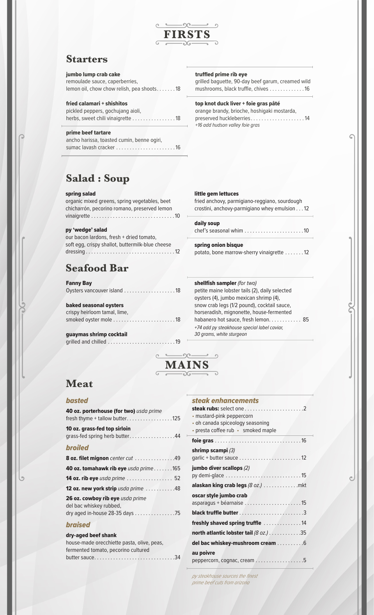

# **Starters**

# jumbo lump crab cake

remoulade sauce, caperberries, lemon oil, chow chow relish, pea shoots. . . . . . . 18

## fried calamari + shishitos

pickled peppers, gochujang aioli, herbs, sweet chili vinaigrette . . . . . . . . . . . . . . . 18

# prime beef tartare

ancho harissa, toasted cumin, benne ogiri, sumac lavash cracker . . . . . . . . . . . . . . . . . . . . . 16

# **Salad : Soup**

## spring salad

organic mixed greens, spring vegetables, beet chicharrón, pecorino romano, preserved lemon vinaigrette . . . . . . . . . . . . . . . . . . . . . . . . . . . . . . 10

#### py 'wedge' salad

| our bacon lardons, fresh + dried tomato,         |  |
|--------------------------------------------------|--|
| soft egg, crispy shallot, buttermilk-blue cheese |  |
|                                                  |  |

# **Seafood Bar**

## Fanny Bay

baked seasonal oysters crispy heirloom tamal, lime, smoked oyster mole . . . . . . . . . . . . . . . . . . . . . . 18

# guaymas shrimp cocktail

grilled and chilled . . . . . . . . . . . . . . . . . . . . . . . . 19

# truffled prime rib eye

grilled baguette, 90-day beef garum, creamed wild mushrooms, black truffle, chives . . . . . . . . . . . . 16

# top knot duck liver + foie gras pâté

orange brandy, brioche, hoshigaki mostarda, preserved huckleberries . . . . . . . . . . . . . . . . . . . 14 +16 add hudson valley foie gras

## little gem lettuces

fried anchovy, parmigiano-reggiano, sourdough crostini, anchovy-parmigiano whey emulsion . . 12

# daily soup

chef's seasonal whim . . . . . . . . . . . . . . . . . . . . . 10

# spring onion bisque

potato, bone marrow-sherry vinaigrette . . . . . . 12

# shellfish sampler (for two)

*steak enhancements*

petite maine lobster tails (2), daily selected oysters (4), jumbo mexican shrimp (4), snow crab legs (1/2 pound), cocktail sauce, horseradish, mignonette, house-fermented habanero hot sauce, fresh lemon. . . . . . . . . . . 85 +74 add py steakhouse special label caviar, 30 grams, white sturgeon



# **Meat**

# *basted*

| 40 oz. porterhouse (for two) usda prime<br>fresh thyme + tallow butter125                      |  |
|------------------------------------------------------------------------------------------------|--|
| 10 oz. grass-fed top sirloin<br>grass-fed spring herb butter44                                 |  |
| broiled                                                                                        |  |
| 8 oz. filet mignon center cut 49                                                               |  |
| 40 oz. tomahawk rib eye usda prime 165                                                         |  |
| 14 oz. rib eye usda prime  52                                                                  |  |
| 12 oz. new york strip usda prime 48                                                            |  |
| 26 oz. cowboy rib eye usda prime<br>del bac whiskey rubbed,<br>dry aged in-house 28-35 days 75 |  |
| braised                                                                                        |  |

# dry-aged beef shank

| house-made orecchiette pasta, olive, peas, |
|--------------------------------------------|
| fermented tomato, pecorino cultured        |
| butter sauce34                             |

| SICUK CIIIIUIILCHIICIILS               |  |
|----------------------------------------|--|
|                                        |  |
| · mustard-pink peppercorn              |  |
| · oh canada spiceology seasoning       |  |
| • presta coffee rub • smoked maple     |  |
|                                        |  |
| shrimp scampi (3)                      |  |
|                                        |  |
| jumbo diver scallops (2)               |  |
|                                        |  |
| alaskan king crab legs (8 oz.) mkt     |  |
| oscar style jumbo crab                 |  |
|                                        |  |
|                                        |  |
| freshly shaved spring truffle 14       |  |
| north atlantic lobster tail (8 oz.) 35 |  |
| del bac whiskey-mushroom cream 6       |  |
| au poivre                              |  |
| peppercorn, cognac, cream 5            |  |
|                                        |  |

py steakhouse sources the finest prime beef cuts from arizona